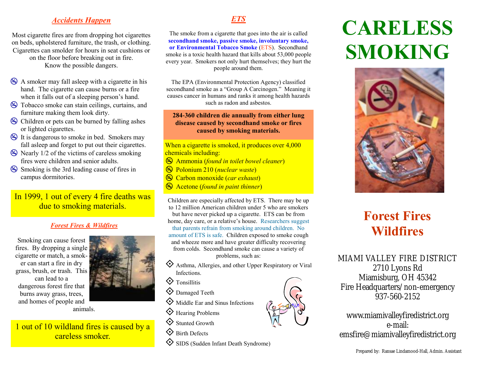# *Accidents Happen*

Most cigarette fires are from dropping hot cigarettes on beds, upholstered furniture, the trash, or clothing. Cigarettes can smolder for hours in seat cushions or on the floor before breaking out in fire. Know the possible dangers.

- A smoker may fall asleep with a cigarette in his hand. The cigarette can cause burns or a fire when it falls out of a sleeping person's hand.
- Tobacco smoke can stain ceilings, curtains, and furniture making them look dirty.
- Children or pets can be burned by falling ashes or lighted cigarettes.
- It is dangerous to smoke in bed. Smokers may fall asleep and forget to put out their cigarettes.
- $\otimes$  Nearly 1/2 of the victims of careless smoking fires were children and senior adults.
- Smoking is the 3rd leading cause of fires in campus dormitories.

In 1999, 1 out of every 4 fire deaths was due to smoking materials.

#### *Forest Fires & Wildfires*

Smoking can cause forest fires. By dropping a single cigarette or match, a smoker can start a fire in dry grass, brush, or trash. This can lead to a dangerous forest fire that burns away grass, trees, and homes of people and



careless smoker.

# *ETS*

The smoke from a cigarette that goes into the air is called **secondhand smoke, passive smoke, involuntary smoke, or Environmental Tobacco Smoke** (ETS). Secondhand smoke is a toxic health hazard that kills about 53,000 people every year. Smokers not only hurt themselves; they hurt the people around them.

The EPA (Environmental Protection Agency) classified secondhand smoke as a "Group A Carcinogen." Meaning it causes cancer in humans and ranks it among health hazards such as radon and asbestos.

#### **284-360 children die annually from either lung disease caused by secondhand smoke or fires caused by smoking materials.**

When a cigarette is smoked, it produces over 4,000 chemicals including:

- Ammonia (*found in toilet bowel cleaner*)
- Polonium 210 (*nuclear waste*)
- Carbon monoxide (*car exhaust*)
- Acetone (*found in paint thinner*)

Children are especially affected by ETS. There may be up to 12 million American children under 5 who are smokers but have never picked up a cigarette. ETS can be from home, day care, or a relative's house. Researchers suggest that parents refrain from smoking around children. No amount of ETS is safe. Children exposed to smoke cough and wheeze more and have greater difficulty recovering from colds. Secondhand smoke can cause a variety of

problems, such as:

- $\diamondsuit$  Asthma, Allergies, and other Upper Respiratory or Viral Infections.
- $\diamond$  Tonsillitis
- $\diamondsuit$  Damaged Teeth
- $\diamondsuit$  Middle Ear and Sinus Infections
- $\diamondsuit$  Hearing Problems
- $\diamondsuit$  Stunted Growth
- $\diamondsuit$  Birth Defects



# **CARELESS SMOKING**



# **Forest Fires Wildfires**

MIAMI VALLEY FIRE DISTRICT 2710 Lyons Rd Miamisburg, OH 45342 Fire Headquarters/non-emergency 937-560-2152

www.miamivalleyfiredistrict.org e-mail: emsfire@miamivalleyfiredistrict.org